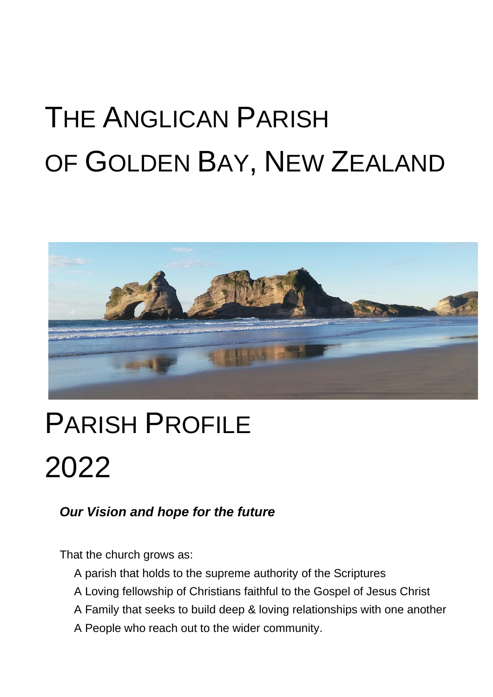# THE ANGLICAN PARISH OF GOLDEN BAY, NEW ZEALAND



## PARISH PROFILE 2022

## *Our Vision and hope for the future*

That the church grows as:

- A parish that holds to the supreme authority of the Scriptures
- A Loving fellowship of Christians faithful to the Gospel of Jesus Christ
- A Family that seeks to build deep & loving relationships with one another
- A People who reach out to the wider community.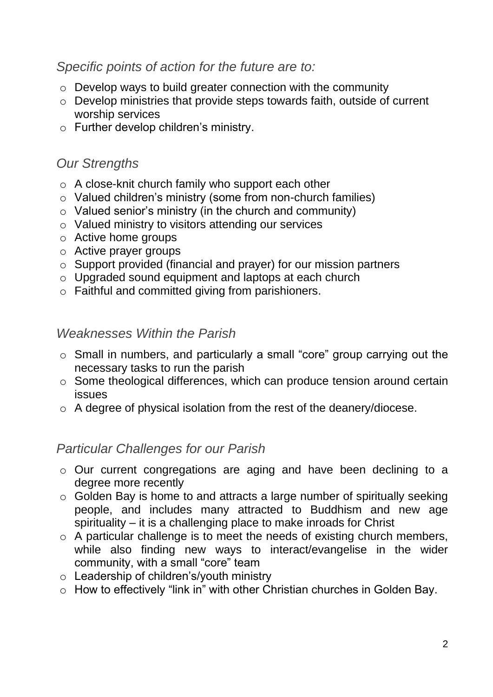#### *Specific points of action for the future are to:*

- o Develop ways to build greater connection with the community
- o Develop ministries that provide steps towards faith, outside of current worship services
- o Further develop children's ministry.

## *Our Strengths*

- o A close-knit church family who support each other
- o Valued children's ministry (some from non-church families)
- o Valued senior's ministry (in the church and community)
- o Valued ministry to visitors attending our services
- o Active home groups
- o Active prayer groups
- o Support provided (financial and prayer) for our mission partners
- o Upgraded sound equipment and laptops at each church
- o Faithful and committed giving from parishioners.

#### *Weaknesses Within the Parish*

- o Small in numbers, and particularly a small "core" group carrying out the necessary tasks to run the parish
- o Some theological differences, which can produce tension around certain issues
- o A degree of physical isolation from the rest of the deanery/diocese.

#### *Particular Challenges for our Parish*

- o Our current congregations are aging and have been declining to a degree more recently
- o Golden Bay is home to and attracts a large number of spiritually seeking people, and includes many attracted to Buddhism and new age spirituality – it is a challenging place to make inroads for Christ
- $\circ$  A particular challenge is to meet the needs of existing church members, while also finding new ways to interact/evangelise in the wider community, with a small "core" team
- o Leadership of children's/youth ministry
- o How to effectively "link in" with other Christian churches in Golden Bay.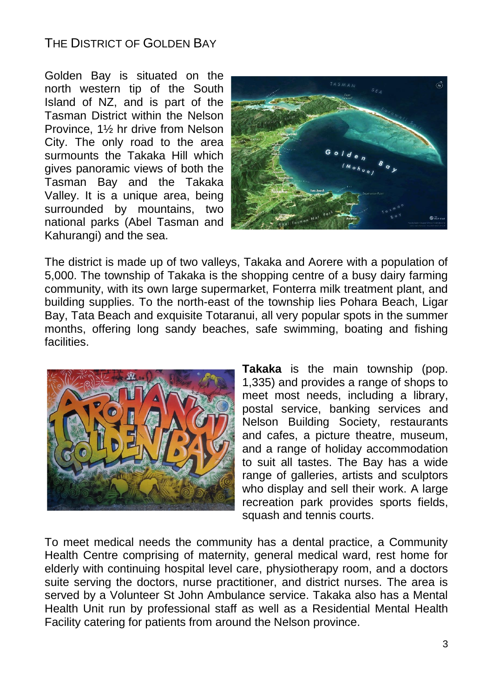## THE DISTRICT OF GOLDEN BAY

Golden Bay is situated on the north western tip of the South Island of NZ, and is part of the Tasman District within the Nelson Province, 1½ hr drive from Nelson City. The only road to the area surmounts the Takaka Hill which gives panoramic views of both the Tasman Bay and the Takaka Valley. It is a unique area, being surrounded by mountains, two national parks (Abel Tasman and Kahurangi) and the sea.



The district is made up of two valleys, Takaka and Aorere with a population of 5,000. The township of Takaka is the shopping centre of a busy dairy farming community, with its own large supermarket, Fonterra milk treatment plant, and building supplies. To the north-east of the township lies Pohara Beach, Ligar Bay, Tata Beach and exquisite Totaranui, all very popular spots in the summer months, offering long sandy beaches, safe swimming, boating and fishing facilities.



**Takaka** is the main township (pop. 1,335) and provides a range of shops to meet most needs, including a library, postal service, banking services and Nelson Building Society, restaurants and cafes, a picture theatre, museum, and a range of holiday accommodation to suit all tastes. The Bay has a wide range of galleries, artists and sculptors who display and sell their work. A large recreation park provides sports fields, squash and tennis courts.

To meet medical needs the community has a dental practice, a Community Health Centre comprising of maternity, general medical ward, rest home for elderly with continuing hospital level care, physiotherapy room, and a doctors suite serving the doctors, nurse practitioner, and district nurses. The area is served by a Volunteer St John Ambulance service. Takaka also has a Mental Health Unit run by professional staff as well as a Residential Mental Health Facility catering for patients from around the Nelson province.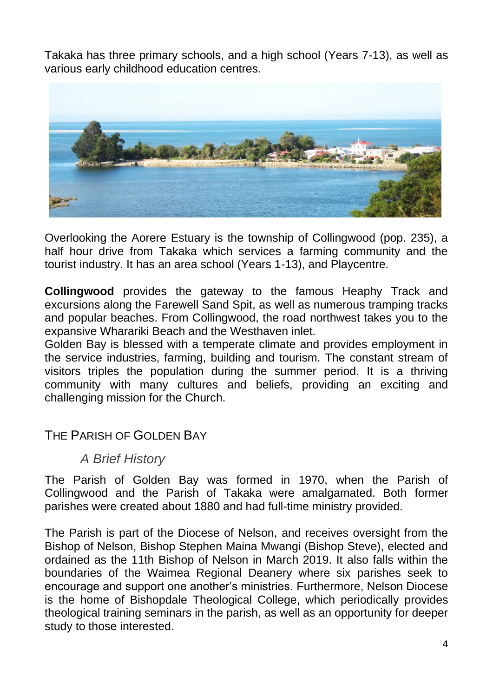Takaka has three primary schools, and a high school (Years 7-13), as well as various early childhood education centres.



Overlooking the Aorere Estuary is the township of Collingwood (pop. 235), a half hour drive from Takaka which services a farming community and the tourist industry. It has an area school (Years 1-13), and Playcentre.

**Collingwood** provides the gateway to the famous Heaphy Track and excursions along the Farewell Sand Spit, as well as numerous tramping tracks and popular beaches. From Collingwood, the road northwest takes you to the expansive Wharariki Beach and the Westhaven inlet.

Golden Bay is blessed with a temperate climate and provides employment in the service industries, farming, building and tourism. The constant stream of visitors triples the population during the summer period. It is a thriving community with many cultures and beliefs, providing an exciting and challenging mission for the Church.

#### THE PARISH OF GOLDEN BAY

#### *A Brief History*

The Parish of Golden Bay was formed in 1970, when the Parish of Collingwood and the Parish of Takaka were amalgamated. Both former parishes were created about 1880 and had full-time ministry provided.

The Parish is part of the Diocese of Nelson, and receives oversight from the Bishop of Nelson, Bishop Stephen Maina Mwangi (Bishop Steve), elected and ordained as the 11th Bishop of Nelson in March 2019. It also falls within the boundaries of the Waimea Regional Deanery where six parishes seek to encourage and support one another's ministries. Furthermore, Nelson Diocese is the home of Bishopdale Theological College, which periodically provides theological training seminars in the parish, as well as an opportunity for deeper study to those interested.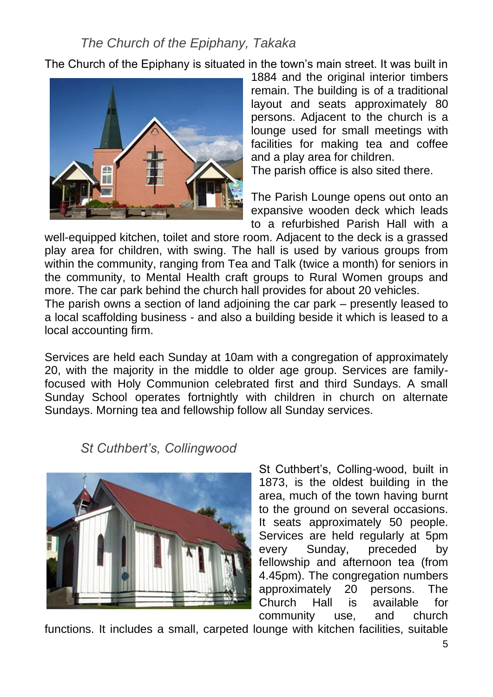## *The Church of the Epiphany, Takaka*

The Church of the Epiphany is situated in the town's main street. It was built in



1884 and the original interior timbers remain. The building is of a traditional layout and seats approximately 80 persons. Adjacent to the church is a lounge used for small meetings with facilities for making tea and coffee and a play area for children.

The parish office is also sited there.

The Parish Lounge opens out onto an expansive wooden deck which leads to a refurbished Parish Hall with a

well-equipped kitchen, toilet and store room. Adjacent to the deck is a grassed play area for children, with swing. The hall is used by various groups from within the community, ranging from Tea and Talk (twice a month) for seniors in the community, to Mental Health craft groups to Rural Women groups and more. The car park behind the church hall provides for about 20 vehicles.

The parish owns a section of land adjoining the car park – presently leased to a local scaffolding business - and also a building beside it which is leased to a local accounting firm.

Services are held each Sunday at 10am with a congregation of approximately 20, with the majority in the middle to older age group. Services are familyfocused with Holy Communion celebrated first and third Sundays. A small Sunday School operates fortnightly with children in church on alternate Sundays. Morning tea and fellowship follow all Sunday services.

#### *St Cuthbert's, Collingwood*



St Cuthbert's, Colling-wood, built in 1873, is the oldest building in the area, much of the town having burnt to the ground on several occasions. It seats approximately 50 people. Services are held regularly at 5pm every Sunday, preceded by fellowship and afternoon tea (from 4.45pm). The congregation numbers approximately 20 persons. The Church Hall is available for community use, and church

functions. It includes a small, carpeted lounge with kitchen facilities, suitable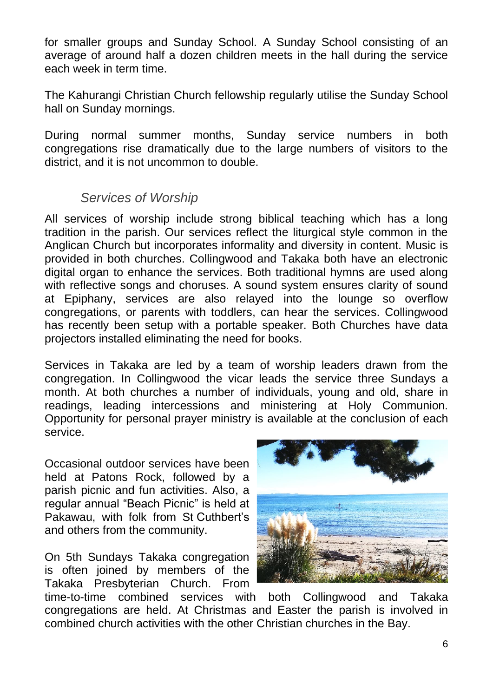for smaller groups and Sunday School. A Sunday School consisting of an average of around half a dozen children meets in the hall during the service each week in term time.

The Kahurangi Christian Church fellowship regularly utilise the Sunday School hall on Sunday mornings.

During normal summer months, Sunday service numbers in both congregations rise dramatically due to the large numbers of visitors to the district, and it is not uncommon to double.

#### *Services of Worship*

All services of worship include strong biblical teaching which has a long tradition in the parish. Our services reflect the liturgical style common in the Anglican Church but incorporates informality and diversity in content. Music is provided in both churches. Collingwood and Takaka both have an electronic digital organ to enhance the services. Both traditional hymns are used along with reflective songs and choruses. A sound system ensures clarity of sound at Epiphany, services are also relayed into the lounge so overflow congregations, or parents with toddlers, can hear the services. Collingwood has recently been setup with a portable speaker. Both Churches have data projectors installed eliminating the need for books.

Services in Takaka are led by a team of worship leaders drawn from the congregation. In Collingwood the vicar leads the service three Sundays a month. At both churches a number of individuals, young and old, share in readings, leading intercessions and ministering at Holy Communion. Opportunity for personal prayer ministry is available at the conclusion of each service.

Occasional outdoor services have been held at Patons Rock, followed by a parish picnic and fun activities. Also, a regular annual "Beach Picnic" is held at Pakawau, with folk from St Cuthbert's and others from the community.

On 5th Sundays Takaka congregation is often joined by members of the Takaka Presbyterian Church. From



time-to-time combined services with both Collingwood and Takaka congregations are held. At Christmas and Easter the parish is involved in combined church activities with the other Christian churches in the Bay.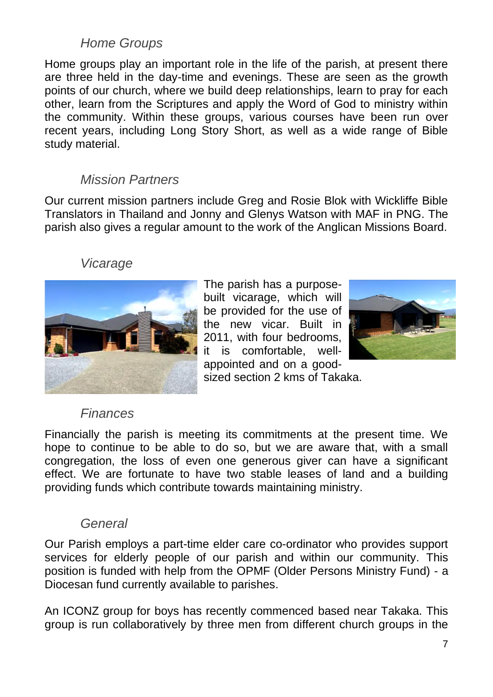## *Home Groups*

Home groups play an important role in the life of the parish, at present there are three held in the day-time and evenings. These are seen as the growth points of our church, where we build deep relationships, learn to pray for each other, learn from the Scriptures and apply the Word of God to ministry within the community. Within these groups, various courses have been run over recent years, including Long Story Short, as well as a wide range of Bible study material.

#### *Mission Partners*

Our current mission partners include Greg and Rosie Blok with Wickliffe Bible Translators in Thailand and Jonny and Glenys Watson with MAF in PNG. The parish also gives a regular amount to the work of the Anglican Missions Board.

#### *Vicarage*



The parish has a purposebuilt vicarage, which will be provided for the use of the new vicar. Built in 2011, with four bedrooms, it is comfortable, wellappointed and on a goodsized section 2 kms of Takaka.



#### *Finances*

Financially the parish is meeting its commitments at the present time. We hope to continue to be able to do so, but we are aware that, with a small congregation, the loss of even one generous giver can have a significant effect. We are fortunate to have two stable leases of land and a building providing funds which contribute towards maintaining ministry.

#### *General*

Our Parish employs a part-time elder care co-ordinator who provides support services for elderly people of our parish and within our community. This position is funded with help from the OPMF (Older Persons Ministry Fund) - a Diocesan fund currently available to parishes.

An ICONZ group for boys has recently commenced based near Takaka. This group is run collaboratively by three men from different church groups in the